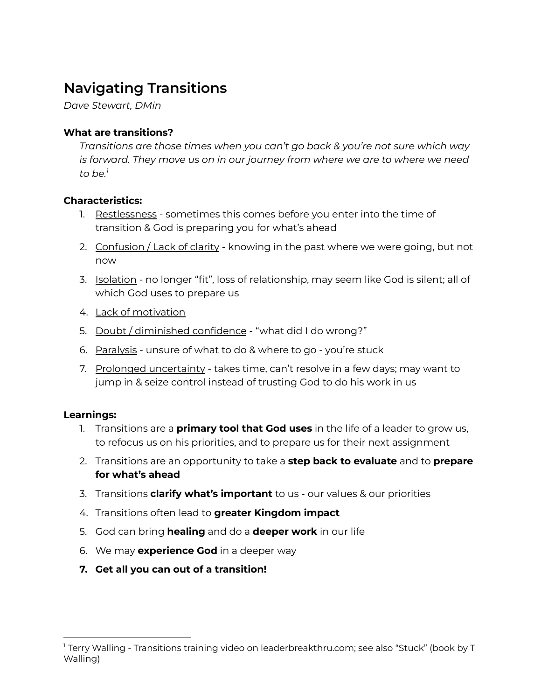# **Navigating Transitions**

*Dave Stewart, DMin*

# **What are transitions?**

*Transitions are those times when you can't go back & you're not sure which way is forward. They move us on in our journey from where we are to where we need to be. 1*

# **Characteristics:**

- 1. Restlessness sometimes this comes before you enter into the time of transition & God is preparing you for what's ahead
- 2. Confusion / Lack of clarity knowing in the past where we were going, but not now
- 3. Isolation no longer "fit", loss of relationship, may seem like God is silent; all of which God uses to prepare us
- 4. Lack of motivation
- 5. Doubt / diminished confidence "what did I do wrong?"
- 6. Paralysis unsure of what to do & where to go you're stuck
- 7. Prolonged uncertainty takes time, can't resolve in a few days; may want to jump in & seize control instead of trusting God to do his work in us

#### **Learnings:**

- 1. Transitions are a **primary tool that God uses** in the life of a leader to grow us, to refocus us on his priorities, and to prepare us for their next assignment
- 2. Transitions are an opportunity to take a **step back to evaluate** and to **prepare for what's ahead**
- 3. Transitions **clarify what's important** to us our values & our priorities
- 4. Transitions often lead to **greater Kingdom impact**
- 5. God can bring **healing** and do a **deeper work** in our life
- 6. We may **experience God** in a deeper way
- **7. Get all you can out of a transition!**

<sup>1</sup> Terry Walling - Transitions training video on leaderbreakthru.com; see also "Stuck" (book by T Walling)